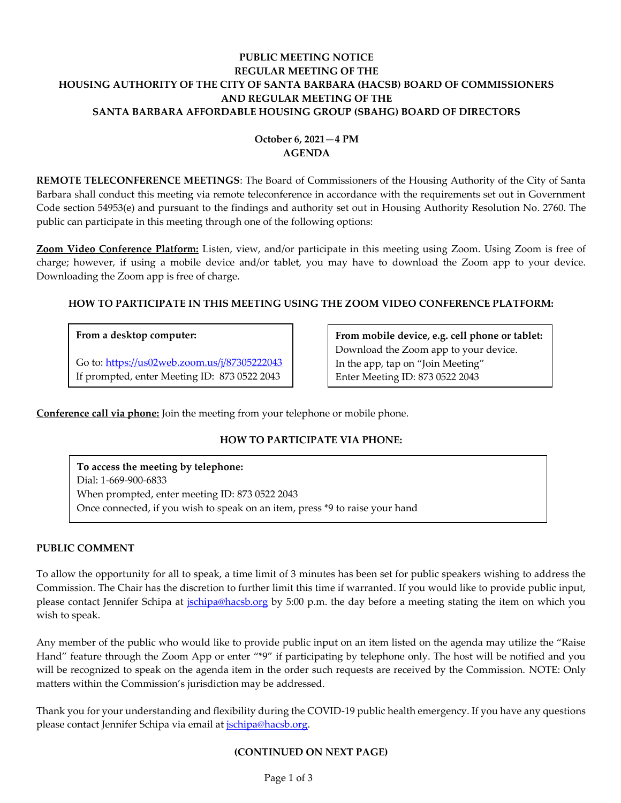## **PUBLIC MEETING NOTICE REGULAR MEETING OF THE HOUSING AUTHORITY OF THE CITY OF SANTA BARBARA (HACSB) BOARD OF COMMISSIONERS AND REGULAR MEETING OF THE SANTA BARBARA AFFORDABLE HOUSING GROUP (SBAHG) BOARD OF DIRECTORS**

# **October 6, 2021—4 PM AGENDA**

**REMOTE TELECONFERENCE MEETINGS**: The Board of Commissioners of the Housing Authority of the City of Santa Barbara shall conduct this meeting via remote teleconference in accordance with the requirements set out in Government Code section 54953(e) and pursuant to the findings and authority set out in Housing Authority Resolution No. 2760. The public can participate in this meeting through one of the following options:

**Zoom Video Conference Platform:** Listen, view, and/or participate in this meeting using Zoom. Using Zoom is free of charge; however, if using a mobile device and/or tablet, you may have to download the Zoom app to your device. Downloading the Zoom app is free of charge.

## **HOW TO PARTICIPATE IN THIS MEETING USING THE ZOOM VIDEO CONFERENCE PLATFORM:**

### **From a desktop computer:**

Go to:<https://us02web.zoom.us/j/87305222043> If prompted, enter Meeting ID: 873 0522 2043

**From mobile device, e.g. cell phone or tablet:** Download the Zoom app to your device. In the app, tap on "Join Meeting" Enter Meeting ID: 873 0522 2043

**Conference call via phone:** Join the meeting from your telephone or mobile phone.

## **HOW TO PARTICIPATE VIA PHONE:**

**To access the meeting by telephone:** Dial: 1-669-900-6833 When prompted, enter meeting ID: 873 0522 2043 Once connected, if you wish to speak on an item, press \*9 to raise your hand

### **PUBLIC COMMENT**

To allow the opportunity for all to speak, a time limit of 3 minutes has been set for public speakers wishing to address the Commission. The Chair has the discretion to further limit this time if warranted. If you would like to provide public input, please contact Jennifer Schipa at *jschipa@hacsb.org* by 5:00 p.m. the day before a meeting stating the item on which you wish to speak.

Any member of the public who would like to provide public input on an item listed on the agenda may utilize the "Raise Hand" feature through the Zoom App or enter "\*9" if participating by telephone only. The host will be notified and you will be recognized to speak on the agenda item in the order such requests are received by the Commission. NOTE: Only matters within the Commission's jurisdiction may be addressed.

Thank you for your understanding and flexibility during the COVID-19 public health emergency. If you have any questions please contact Jennifer Schipa via email at *jschipa@hacsb.org*.

### **(CONTINUED ON NEXT PAGE)**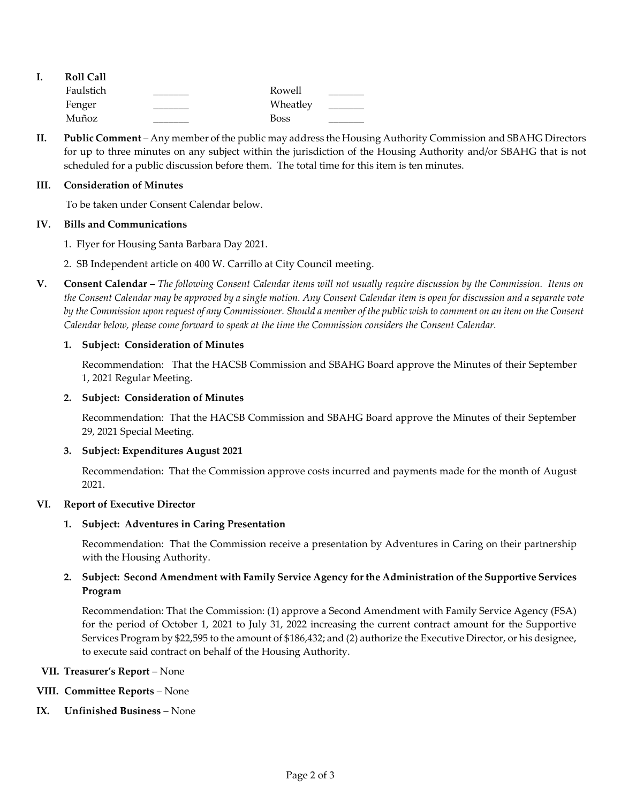|  | <b>Roll Call</b> |             |  |
|--|------------------|-------------|--|
|  | Faulstich        | Rowell      |  |
|  | Fenger           | Wheatley    |  |
|  | Muñoz            | <b>Boss</b> |  |

**II. Public Comment** – Any member of the public may address the Housing Authority Commission and SBAHG Directors for up to three minutes on any subject within the jurisdiction of the Housing Authority and/or SBAHG that is not scheduled for a public discussion before them. The total time for this item is ten minutes.

#### **III. Consideration of Minutes**

To be taken under Consent Calendar below.

#### **IV. Bills and Communications**

1. [Flyer for Housing Santa Barbara Day 2021.](https://hacsb.org/download/meetings_2021/items/october/Item-IV.1_Housing-Santa-Barbara-Day.pdf)

- [2. SB Independent article on 400 W. Carrillo at City Council meeting.](https://hacsb.org/download/meetings_2021/items/october/Item-IV.2_400-W.-Carrillo-St..pdf)
- **V. Consent Calendar** *The following Consent Calendar items will not usually require discussion by the Commission. Items on the Consent Calendar may be approved by a single motion. Any Consent Calendar item is open for discussion and a separate vote by the Commission upon request of any Commissioner. Should a member of the public wish to comment on an item on the Consent Calendar below, please come forward to speak at the time the Commission considers the Consent Calendar.*

#### **1. Subject: Consideration of Minutes**

Recommendation: That the HACSB Commission [and SBAHG Board approve the Minutes of their September](https://hacsb.org/download/meetings_2021/items/october/Item-V.1_MINUTES-09-01-2021.pdf) 1, 2021 Regular Meeting.

#### **2. Subject: Consideration of Minutes**

[Recommendation: That the HACSB Commission and SBAHG Board approve the Minutes of their September](https://hacsb.org/download/meetings_2021/items/october/Item-V.2_MINUTES-09-29-2021-Special-Meeting.pdf)  29, 2021 Special Meeting.

#### **3. Subject: Expenditures August 2021**

[Recommendation: That the Commission approve costs incurred and payments made for the month of August](https://hacsb.org/download/meetings_2021/items/october/Item-V.3_Agenda-Report-AUG_no-attachments.pdf) 2021.

### **VI. Report of Executive Director**

### **1. Subject: Adventures in Caring Presentation**

Recommendation: That the Commission receive a presentation by Adventures in Caring on their partnership with the Housing Authority.

## **2. [Subject: Second Amendment with Family Service Agency for the Administration of the Supportive Services](https://hacsb.org/download/meetings_2021/items/october/Item-VI.2_Supportive-Svcs-Contract-Adjustment.pdf)  Program**

Recommendation: That the Commission: (1) approve a Second Amendment with Family Service Agency (FSA) for the period of October 1, 2021 to July 31, 2022 increasing the current contract amount for the Supportive Services Program by \$22,595 to the amount of \$186,432; and (2) authorize the Executive Director, or his designee, to execute said contract on behalf of the Housing Authority.

#### **VII. Treasurer's Report** – None

### **VIII. Committee Reports** – None

**IX. Unfinished Business** – None